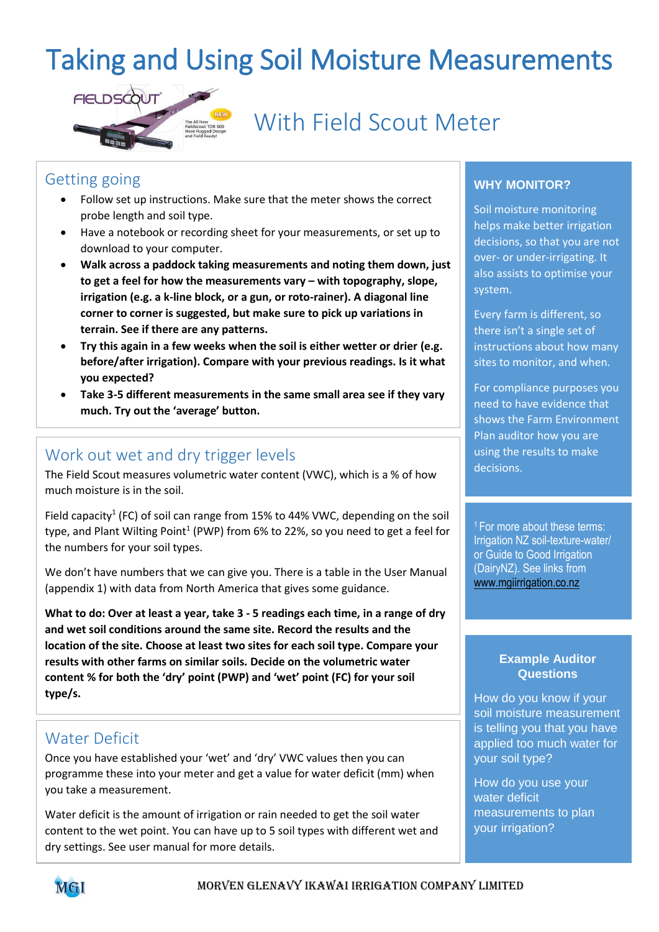# Taking and Using Soil Moisture Measurements



With Field Scout Meter

### Getting going

- Follow set up instructions. Make sure that the meter shows the correct probe length and soil type.
- Have a notebook or recording sheet for your measurements, or set up to download to your computer.
- **Walk across a paddock taking measurements and noting them down, just to get a feel for how the measurements vary – with topography, slope, irrigation (e.g. a k-line block, or a gun, or roto-rainer). A diagonal line corner to corner is suggested, but make sure to pick up variations in terrain. See if there are any patterns.**
- **Try this again in a few weeks when the soil is either wetter or drier (e.g. before/after irrigation). Compare with your previous readings. Is it what you expected?**
- **Take 3-5 different measurements in the same small area see if they vary much. Try out the 'average' button.**

## Work out wet and dry trigger levels

The Field Scout measures volumetric water content (VWC), which is a % of how much moisture is in the soil.

Field capacity<sup>1</sup> (FC) of soil can range from 15% to 44% VWC, depending on the soil type, and Plant Wilting Point<sup>1</sup> (PWP) from 6% to 22%, so you need to get a feel for the numbers for your soil types.

We don't have numbers that we can give you. There is a table in the User Manual (appendix 1) with data from North America that gives some guidance.

**What to do: Over at least a year, take 3 - 5 readings each time, in a range of dry and wet soil conditions around the same site. Record the results and the location of the site. Choose at least two sites for each soil type. Compare your results with other farms on similar soils. Decide on the volumetric water content % for both the 'dry' point (PWP) and 'wet' point (FC) for your soil type/s.** 

## Water Deficit

Once you have established your 'wet' and 'dry' VWC values then you can programme these into your meter and get a value for water deficit (mm) when you take a measurement.

Water deficit is the amount of irrigation or rain needed to get the soil water content to the wet point. You can have up to 5 soil types with different wet and dry settings. See user manual for more details.

#### **WHY MONITOR?**

Soil moisture monitoring helps make better irrigation decisions, so that you are not over- or under-irrigating. It also assists to optimise your system.

Every farm is different, so there isn't a single set of instructions about how many sites to monitor, and when.

For compliance purposes you need to have evidence that shows the Farm Environment Plan auditor how you are using the results to make decisions.

<sup>1</sup>For more about these terms: Irrigation NZ soil-texture-water/ or Guide to Good Irrigation (DairyNZ). See links from [www.mgiirrigation.co.nz](http://www.mgiirrigation.co.nz/)

#### **Example Auditor Questions**

How do you know if your soil moisture measurement is telling you that you have applied too much water for your soil type?

How do you use your water deficit measurements to plan your irrigation?

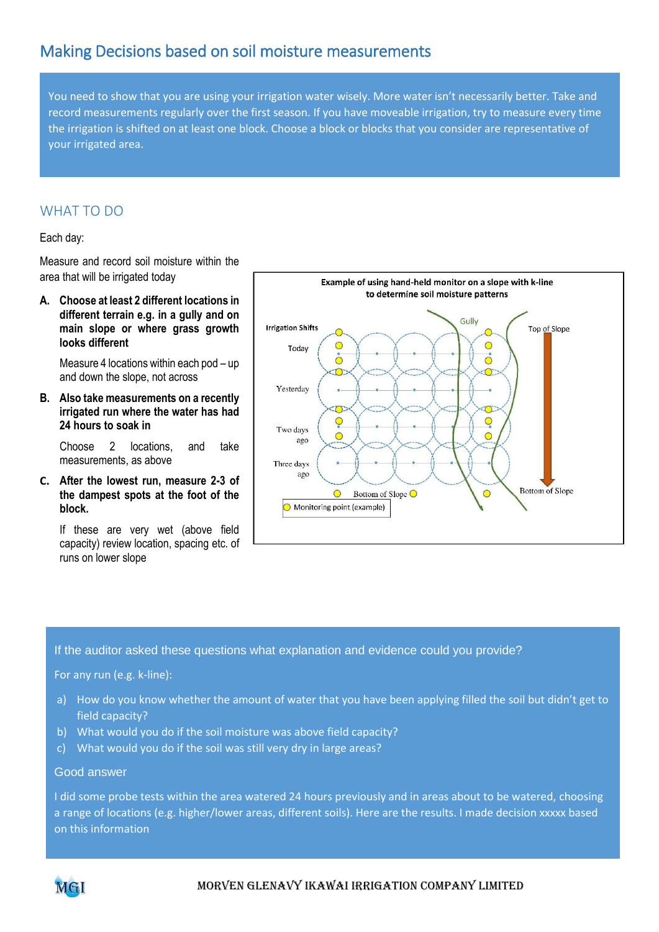## Making Decisions based on soil moisture measurements

You need to show that you are using your irrigation water wisely. More water isn't necessarily better. Take and record measurements regularly over the first season. If you have moveable irrigation, try to measure every time the irrigation is shifted on at least one block. Choose a block or blocks that you consider are representative of your irrigated area.

#### WHAT TO DO

Each day:

Measure and record soil moisture within the area that will be irrigated today

**A. Choose at least 2 different locations in different terrain e.g. in a gully and on main slope or where grass growth looks different**

Measure 4 locations within each pod – up and down the slope, not across

**B. Also take measurements on a recently irrigated run where the water has had 24 hours to soak in** 

Choose 2 locations, and take measurements, as above

**C. After the lowest run, measure 2-3 of the dampest spots at the foot of the block.** 

If these are very wet (above field capacity) review location, spacing etc. of runs on lower slope



If the auditor asked these questions what explanation and evidence could you provide?

For any run (e.g. k-line):

- a) How do you know whether the amount of water that you have been applying filled the soil but didn't get to field capacity?
- b) What would you do if the soil moisture was above field capacity?
- c) What would you do if the soil was still very dry in large areas?

#### Good answer

I did some probe tests within the area watered 24 hours previously and in areas about to be watered, choosing a range of locations (e.g. higher/lower areas, different soils). Here are the results. I made decision xxxxx based on this information

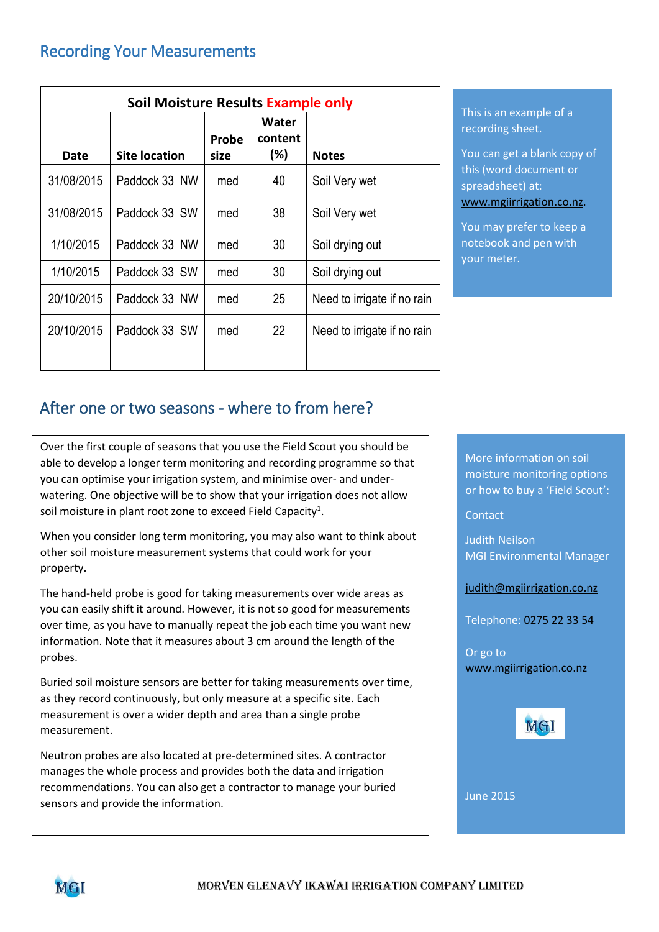| Soil Moisture Results Example only |                      |               |                         |                             |
|------------------------------------|----------------------|---------------|-------------------------|-----------------------------|
| Date                               | <b>Site location</b> | Probe<br>size | Water<br>content<br>(%) | <b>Notes</b>                |
| 31/08/2015                         | Paddock 33 NW        | med           | 40                      | Soil Very wet               |
| 31/08/2015                         | Paddock 33 SW        | med           | 38                      | Soil Very wet               |
| 1/10/2015                          | Paddock 33 NW        | med           | 30                      | Soil drying out             |
| 1/10/2015                          | Paddock 33 SW        | med           | 30                      | Soil drying out             |
| 20/10/2015                         | Paddock 33 NW        | med           | 25                      | Need to irrigate if no rain |
| 20/10/2015                         | Paddock 33 SW        | med           | 22                      | Need to irrigate if no rain |
|                                    |                      |               |                         |                             |

This is an example of a recording sheet.

You can get a blank copy of this (word document or spreadsheet) at: [www.mgiirrigation.co.nz.](http://www.mgiirrigation.co.nz/)

You may prefer to keep a notebook and pen with your meter.

# After one or two seasons - where to from here?

Over the first couple of seasons that you use the Field Scout you should be able to develop a longer term monitoring and recording programme so that you can optimise your irrigation system, and minimise over- and underwatering. One objective will be to show that your irrigation does not allow soil moisture in plant root zone to exceed Field Capacity<sup>1</sup>.

When you consider long term monitoring, you may also want to think about other soil moisture measurement systems that could work for your property.

The hand-held probe is good for taking measurements over wide areas as you can easily shift it around. However, it is not so good for measurements over time, as you have to manually repeat the job each time you want new information. Note that it measures about 3 cm around the length of the probes.

Buried soil moisture sensors are better for taking measurements over time, as they record continuously, but only measure at a specific site. Each measurement is over a wider depth and area than a single probe measurement.

Neutron probes are also located at pre-determined sites. A contractor manages the whole process and provides both the data and irrigation recommendations. You can also get a contractor to manage your buried sensors and provide the information.

More information on soil moisture monitoring options or how to buy a 'Field Scout':

**Contact** 

Judith Neilson MGI Environmental Manager

[judith@mgiirrigation.co.nz](mailto:judith@mgiirrigation.co.nz)

Telephone: 0275 22 33 54

Or go to www.mgiirrigation.co.nz



June 2015